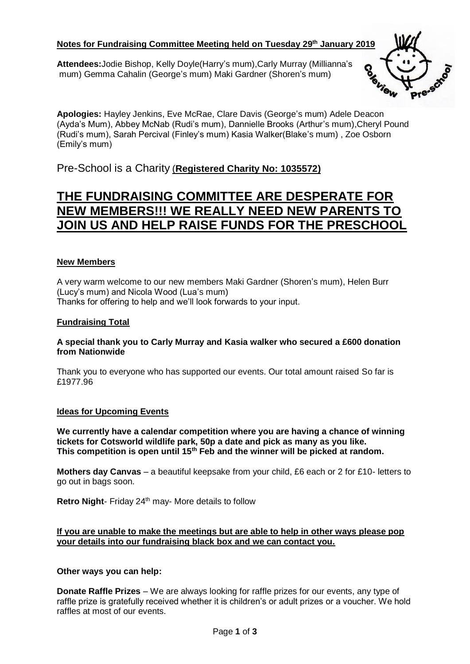# **Notes for Fundraising Committee Meeting held on Tuesday 29 th January 2019**

**Attendees:**Jodie Bishop, Kelly Doyle(Harry's mum),Carly Murray (Millianna's mum) Gemma Cahalin (George's mum) Maki Gardner (Shoren's mum)



**Apologies:** Hayley Jenkins, Eve McRae, Clare Davis (George's mum) Adele Deacon (Ayda's Mum), Abbey McNab (Rudi's mum), Dannielle Brooks (Arthur's mum),Cheryl Pound (Rudi's mum), Sarah Percival (Finley's mum) Kasia Walker(Blake's mum) , Zoe Osborn (Emily's mum)

Pre-School is a Charity (**Registered Charity No: 1035572)**

# **THE FUNDRAISING COMMITTEE ARE DESPERATE FOR NEW MEMBERS!!! WE REALLY NEED NEW PARENTS TO JOIN US AND HELP RAISE FUNDS FOR THE PRESCHOOL**

#### **New Members**

A very warm welcome to our new members Maki Gardner (Shoren's mum), Helen Burr (Lucy's mum) and Nicola Wood (Lua's mum) Thanks for offering to help and we'll look forwards to your input.

#### **Fundraising Total**

#### **A special thank you to Carly Murray and Kasia walker who secured a £600 donation from Nationwide**

Thank you to everyone who has supported our events. Our total amount raised So far is £1977.96

#### **Ideas for Upcoming Events**

**We currently have a calendar competition where you are having a chance of winning tickets for Cotsworld wildlife park, 50p a date and pick as many as you like. This competition is open until 15th Feb and the winner will be picked at random.** 

**Mothers day Canvas** – a beautiful keepsake from your child, £6 each or 2 for £10- letters to go out in bags soon.

Retro Night- Friday 24<sup>th</sup> may- More details to follow

**If you are unable to make the meetings but are able to help in other ways please pop your details into our fundraising black box and we can contact you.** 

#### **Other ways you can help:**

**Donate Raffle Prizes** – We are always looking for raffle prizes for our events, any type of raffle prize is gratefully received whether it is children's or adult prizes or a voucher. We hold raffles at most of our events.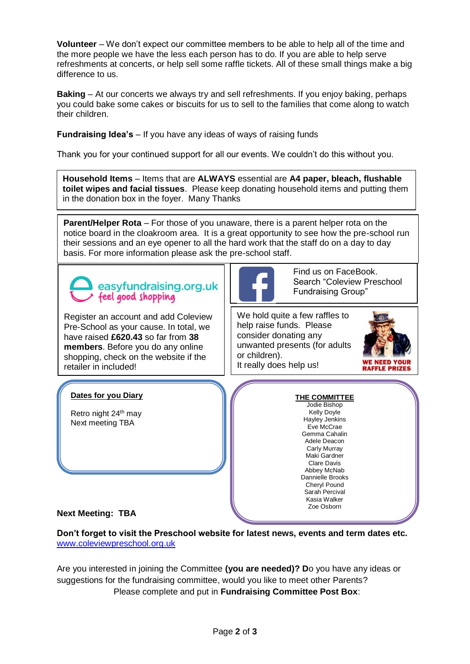**Volunteer** – We don't expect our committee members to be able to help all of the time and the more people we have the less each person has to do. If you are able to help serve refreshments at concerts, or help sell some raffle tickets. All of these small things make a big difference to us.

**Baking** – At our concerts we always try and sell refreshments. If you enjoy baking, perhaps you could bake some cakes or biscuits for us to sell to the families that come along to watch their children.

**Fundraising Idea's** – If you have any ideas of ways of raising funds

Thank you for your continued support for all our events. We couldn't do this without you.

**Household Items** – Items that are **ALWAYS** essential are **A4 paper, bleach, flushable toilet wipes and facial tissues**. Please keep donating household items and putting them in the donation box in the foyer. Many Thanks

**Parent/Helper Rota** – For those of you unaware, there is a parent helper rota on the notice board in the cloakroom area. It is a great opportunity to see how the pre-school run their sessions and an eye opener to all the hard work that the staff do on a day to day basis. For more information please ask the pre-school staff.



Register an account and add Coleview Pre-School as your cause. In total, we have raised **£620.43** so far from **38 members**. Before you do any online shopping, check on the website if the retailer in included!



Find us on FaceBook. Search "Coleview Preschool Fundraising Group"

We hold quite a few raffles to help raise funds. Please consider donating any unwanted presents (for adults or children). It really does help us!



## **Dates for you Diary**

Retro night 24<sup>th</sup> may Next meeting TBA

**THE COMMITTEE** Jodie Bishop Kelly Doyle Hayley Jenkins Eve McCrae Gemma Cahalin Adele Deacon Carly Murray Maki Gardner Clare Davis Abbey McNab Dannielle Brooks Cheryl Pound Sarah Percival Kasia Walker Zoe Osborn

## **Next Meeting: TBA**

**Don't forget to visit the Preschool website for latest news, events and term dates etc.**  [www.coleviewpreschool.org.uk](http://www.coleviewpreschool.org.uk/)

Are you interested in joining the Committee **(you are needed)? D**o you have any ideas or suggestions for the fundraising committee, would you like to meet other Parents? Please complete and put in **Fundraising Committee Post Box**: